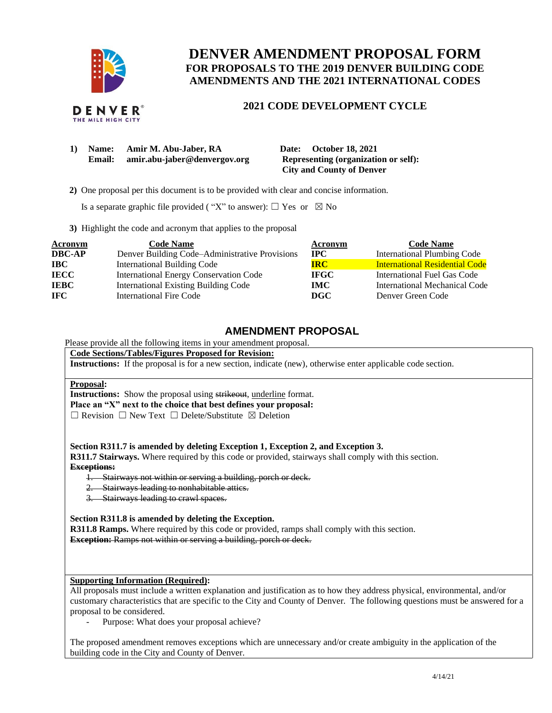

# **DENVER AMENDMENT PROPOSAL FORM FOR PROPOSALS TO THE 2019 DENVER BUILDING CODE AMENDMENTS AND THE 2021 INTERNATIONAL CODES**

### **2021 CODE DEVELOPMENT CYCLE**

| 1) | Name:         | Amir M. Abu-Jaber, RA        |
|----|---------------|------------------------------|
|    | <b>Email:</b> | amir.abu-jaber@denvergov.org |

**10 Date: October 18, 2021 Representing (organization or self): City and County of Denver**

 **2)** One proposal per this document is to be provided with clear and concise information.

Is a separate graphic file provided ( "X" to answer):  $\Box$  Yes or  $\boxtimes$  No

**3)** Highlight the code and acronym that applies to the proposal

| <b>Acronym</b> | <b>Code Name</b>                               | Acronym     | <b>Code Name</b>                      |
|----------------|------------------------------------------------|-------------|---------------------------------------|
| <b>DBC-AP</b>  | Denver Building Code–Administrative Provisions | $\bf IPC$   | <b>International Plumbing Code</b>    |
| <b>IBC</b>     | <b>International Building Code</b>             | IRC-        | <b>International Residential Code</b> |
| <b>IECC</b>    | <b>International Energy Conservation Code</b>  | <b>IFGC</b> | International Fuel Gas Code           |
| <b>IEBC</b>    | <b>International Existing Building Code</b>    | <b>IMC</b>  | International Mechanical Code         |
| <b>IFC</b>     | International Fire Code                        | DGC         | Denver Green Code                     |

## **AMENDMENT PROPOSAL**

### Please provide all the following items in your amendment proposal.

**Code Sections/Tables/Figures Proposed for Revision:**

**Instructions:** If the proposal is for a new section, indicate (new), otherwise enter applicable code section.

#### **Proposal:**

**Instructions:** Show the proposal using strikeout, underline format. **Place an "X" next to the choice that best defines your proposal:** ☐ Revision ☐ New Text ☐ Delete/Substitute ☒ Deletion

**Section R311.7 is amended by deleting Exception 1, Exception 2, and Exception 3.**

**R311.7 Stairways.** Where required by this code or provided, stairways shall comply with this section. **Exceptions:** 

- 1. Stairways not within or serving a building, porch or deck.
- 2. Stairways leading to nonhabitable attics.
- 3. Stairways leading to crawl spaces.

**Section R311.8 is amended by deleting the Exception.**

**R311.8 Ramps.** Where required by this code or provided, ramps shall comply with this section.

**Exception:** Ramps not within or serving a building, porch or deck.

### **Supporting Information (Required):**

All proposals must include a written explanation and justification as to how they address physical, environmental, and/or customary characteristics that are specific to the City and County of Denver. The following questions must be answered for a proposal to be considered.

Purpose: What does your proposal achieve?

The proposed amendment removes exceptions which are unnecessary and/or create ambiguity in the application of the building code in the City and County of Denver.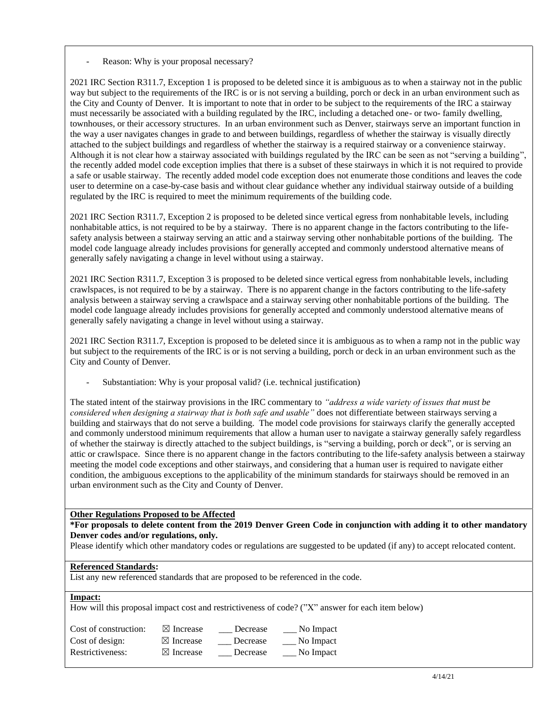Reason: Why is your proposal necessary?

2021 IRC Section R311.7, Exception 1 is proposed to be deleted since it is ambiguous as to when a stairway not in the public way but subject to the requirements of the IRC is or is not serving a building, porch or deck in an urban environment such as the City and County of Denver. It is important to note that in order to be subject to the requirements of the IRC a stairway must necessarily be associated with a building regulated by the IRC, including a detached one- or two- family dwelling, townhouses, or their accessory structures. In an urban environment such as Denver, stairways serve an important function in the way a user navigates changes in grade to and between buildings, regardless of whether the stairway is visually directly attached to the subject buildings and regardless of whether the stairway is a required stairway or a convenience stairway. Although it is not clear how a stairway associated with buildings regulated by the IRC can be seen as not "serving a building", the recently added model code exception implies that there is a subset of these stairways in which it is not required to provide a safe or usable stairway. The recently added model code exception does not enumerate those conditions and leaves the code user to determine on a case-by-case basis and without clear guidance whether any individual stairway outside of a building regulated by the IRC is required to meet the minimum requirements of the building code.

2021 IRC Section R311.7, Exception 2 is proposed to be deleted since vertical egress from nonhabitable levels, including nonhabitable attics, is not required to be by a stairway. There is no apparent change in the factors contributing to the lifesafety analysis between a stairway serving an attic and a stairway serving other nonhabitable portions of the building. The model code language already includes provisions for generally accepted and commonly understood alternative means of generally safely navigating a change in level without using a stairway.

2021 IRC Section R311.7, Exception 3 is proposed to be deleted since vertical egress from nonhabitable levels, including crawlspaces, is not required to be by a stairway. There is no apparent change in the factors contributing to the life-safety analysis between a stairway serving a crawlspace and a stairway serving other nonhabitable portions of the building. The model code language already includes provisions for generally accepted and commonly understood alternative means of generally safely navigating a change in level without using a stairway.

2021 IRC Section R311.7, Exception is proposed to be deleted since it is ambiguous as to when a ramp not in the public way but subject to the requirements of the IRC is or is not serving a building, porch or deck in an urban environment such as the City and County of Denver.

Substantiation: Why is your proposal valid? (i.e. technical justification)

The stated intent of the stairway provisions in the IRC commentary to *"address a wide variety of issues that must be considered when designing a stairway that is both safe and usable"* does not differentiate between stairways serving a building and stairways that do not serve a building. The model code provisions for stairways clarify the generally accepted and commonly understood minimum requirements that allow a human user to navigate a stairway generally safely regardless of whether the stairway is directly attached to the subject buildings, is "serving a building, porch or deck", or is serving an attic or crawlspace. Since there is no apparent change in the factors contributing to the life-safety analysis between a stairway meeting the model code exceptions and other stairways, and considering that a human user is required to navigate either condition, the ambiguous exceptions to the applicability of the minimum standards for stairways should be removed in an urban environment such as the City and County of Denver.

#### **Other Regulations Proposed to be Affected**

#### **\*For proposals to delete content from the 2019 Denver Green Code in conjunction with adding it to other mandatory Denver codes and/or regulations, only.**

Please identify which other mandatory codes or regulations are suggested to be updated (if any) to accept relocated content.

#### **Referenced Standards:**

List any new referenced standards that are proposed to be referenced in the code.

#### **Impact:**

How will this proposal impact cost and restrictiveness of code? ("X" answer for each item below)

| Cost of construction: | $\boxtimes$ Increase | Decrease | No Impact |
|-----------------------|----------------------|----------|-----------|
| Cost of design:       | $\boxtimes$ Increase | Decrease | No Impact |
| Restrictiveness:      | $\boxtimes$ Increase | Decrease | No Impact |